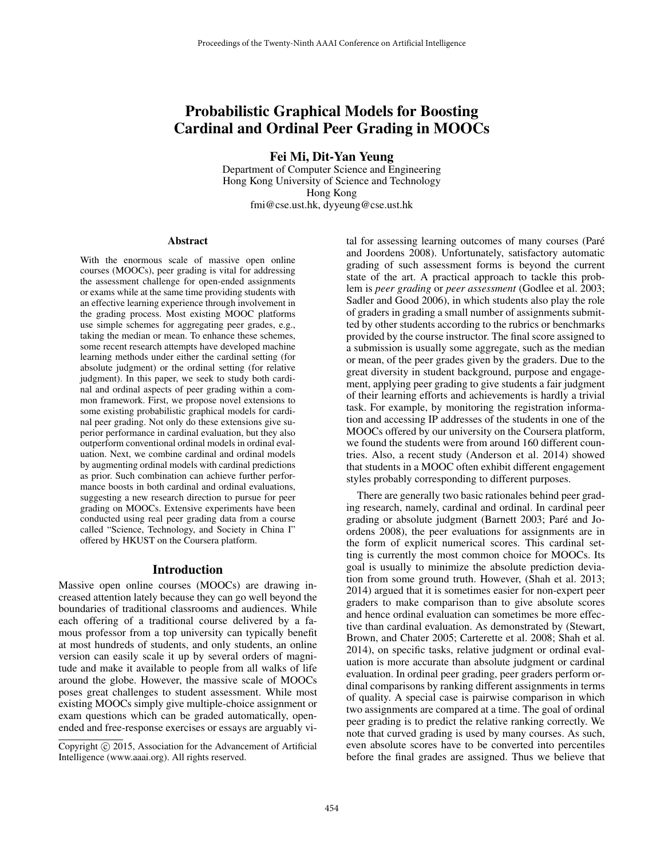# Probabilistic Graphical Models for Boosting Cardinal and Ordinal Peer Grading in MOOCs

Fei Mi, Dit-Yan Yeung

Department of Computer Science and Engineering Hong Kong University of Science and Technology Hong Kong fmi@cse.ust.hk, dyyeung@cse.ust.hk

#### Abstract

With the enormous scale of massive open online courses (MOOCs), peer grading is vital for addressing the assessment challenge for open-ended assignments or exams while at the same time providing students with an effective learning experience through involvement in the grading process. Most existing MOOC platforms use simple schemes for aggregating peer grades, e.g., taking the median or mean. To enhance these schemes, some recent research attempts have developed machine learning methods under either the cardinal setting (for absolute judgment) or the ordinal setting (for relative judgment). In this paper, we seek to study both cardinal and ordinal aspects of peer grading within a common framework. First, we propose novel extensions to some existing probabilistic graphical models for cardinal peer grading. Not only do these extensions give superior performance in cardinal evaluation, but they also outperform conventional ordinal models in ordinal evaluation. Next, we combine cardinal and ordinal models by augmenting ordinal models with cardinal predictions as prior. Such combination can achieve further performance boosts in both cardinal and ordinal evaluations, suggesting a new research direction to pursue for peer grading on MOOCs. Extensive experiments have been conducted using real peer grading data from a course called "Science, Technology, and Society in China I" offered by HKUST on the Coursera platform.

#### Introduction

Massive open online courses (MOOCs) are drawing increased attention lately because they can go well beyond the boundaries of traditional classrooms and audiences. While each offering of a traditional course delivered by a famous professor from a top university can typically benefit at most hundreds of students, and only students, an online version can easily scale it up by several orders of magnitude and make it available to people from all walks of life around the globe. However, the massive scale of MOOCs poses great challenges to student assessment. While most existing MOOCs simply give multiple-choice assignment or exam questions which can be graded automatically, openended and free-response exercises or essays are arguably vi-

tal for assessing learning outcomes of many courses (Paré and Joordens 2008). Unfortunately, satisfactory automatic grading of such assessment forms is beyond the current state of the art. A practical approach to tackle this problem is *peer grading* or *peer assessment* (Godlee et al. 2003; Sadler and Good 2006), in which students also play the role of graders in grading a small number of assignments submitted by other students according to the rubrics or benchmarks provided by the course instructor. The final score assigned to a submission is usually some aggregate, such as the median or mean, of the peer grades given by the graders. Due to the great diversity in student background, purpose and engagement, applying peer grading to give students a fair judgment of their learning efforts and achievements is hardly a trivial task. For example, by monitoring the registration information and accessing IP addresses of the students in one of the MOOCs offered by our university on the Coursera platform, we found the students were from around 160 different countries. Also, a recent study (Anderson et al. 2014) showed that students in a MOOC often exhibit different engagement styles probably corresponding to different purposes.

There are generally two basic rationales behind peer grading research, namely, cardinal and ordinal. In cardinal peer grading or absolute judgment (Barnett 2003; Paré and Joordens 2008), the peer evaluations for assignments are in the form of explicit numerical scores. This cardinal setting is currently the most common choice for MOOCs. Its goal is usually to minimize the absolute prediction deviation from some ground truth. However, (Shah et al. 2013; 2014) argued that it is sometimes easier for non-expert peer graders to make comparison than to give absolute scores and hence ordinal evaluation can sometimes be more effective than cardinal evaluation. As demonstrated by (Stewart, Brown, and Chater 2005; Carterette et al. 2008; Shah et al. 2014), on specific tasks, relative judgment or ordinal evaluation is more accurate than absolute judgment or cardinal evaluation. In ordinal peer grading, peer graders perform ordinal comparisons by ranking different assignments in terms of quality. A special case is pairwise comparison in which two assignments are compared at a time. The goal of ordinal peer grading is to predict the relative ranking correctly. We note that curved grading is used by many courses. As such, even absolute scores have to be converted into percentiles before the final grades are assigned. Thus we believe that

Copyright © 2015, Association for the Advancement of Artificial Intelligence (www.aaai.org). All rights reserved.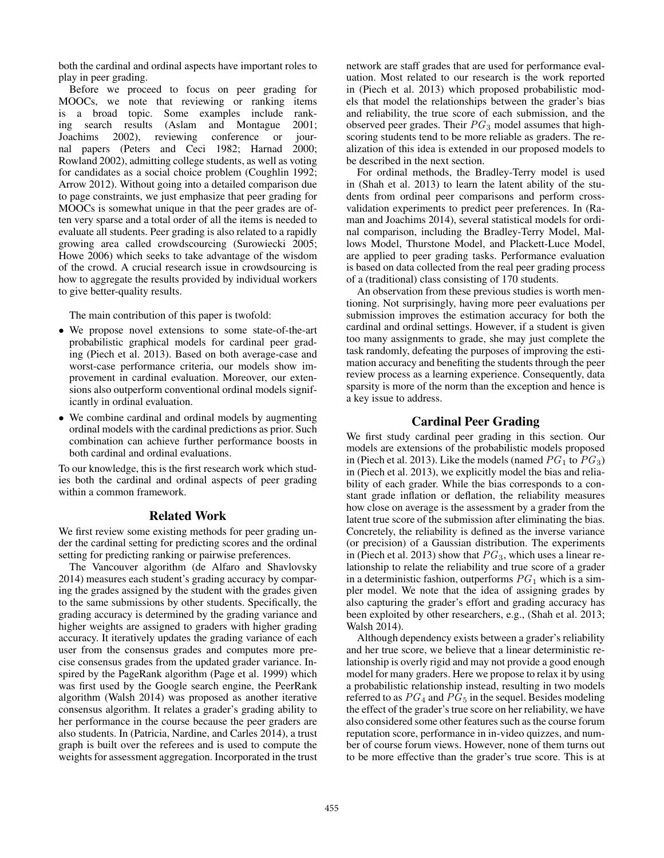both the cardinal and ordinal aspects have important roles to play in peer grading.

Before we proceed to focus on peer grading for MOOCs, we note that reviewing or ranking items is a broad topic. Some examples include ranking search results (Aslam and Montague 2001; Joachims 2002), reviewing conference or journal papers (Peters and Ceci 1982; Harnad 2000; Rowland 2002), admitting college students, as well as voting for candidates as a social choice problem (Coughlin 1992; Arrow 2012). Without going into a detailed comparison due to page constraints, we just emphasize that peer grading for MOOCs is somewhat unique in that the peer grades are often very sparse and a total order of all the items is needed to evaluate all students. Peer grading is also related to a rapidly growing area called crowdscourcing (Surowiecki 2005; Howe 2006) which seeks to take advantage of the wisdom of the crowd. A crucial research issue in crowdsourcing is how to aggregate the results provided by individual workers to give better-quality results.

The main contribution of this paper is twofold:

- We propose novel extensions to some state-of-the-art probabilistic graphical models for cardinal peer grading (Piech et al. 2013). Based on both average-case and worst-case performance criteria, our models show improvement in cardinal evaluation. Moreover, our extensions also outperform conventional ordinal models significantly in ordinal evaluation.
- We combine cardinal and ordinal models by augmenting ordinal models with the cardinal predictions as prior. Such combination can achieve further performance boosts in both cardinal and ordinal evaluations.

To our knowledge, this is the first research work which studies both the cardinal and ordinal aspects of peer grading within a common framework.

# Related Work

We first review some existing methods for peer grading under the cardinal setting for predicting scores and the ordinal setting for predicting ranking or pairwise preferences.

The Vancouver algorithm (de Alfaro and Shavlovsky 2014) measures each student's grading accuracy by comparing the grades assigned by the student with the grades given to the same submissions by other students. Specifically, the grading accuracy is determined by the grading variance and higher weights are assigned to graders with higher grading accuracy. It iteratively updates the grading variance of each user from the consensus grades and computes more precise consensus grades from the updated grader variance. Inspired by the PageRank algorithm (Page et al. 1999) which was first used by the Google search engine, the PeerRank algorithm (Walsh 2014) was proposed as another iterative consensus algorithm. It relates a grader's grading ability to her performance in the course because the peer graders are also students. In (Patricia, Nardine, and Carles 2014), a trust graph is built over the referees and is used to compute the weights for assessment aggregation. Incorporated in the trust

network are staff grades that are used for performance evaluation. Most related to our research is the work reported in (Piech et al. 2013) which proposed probabilistic models that model the relationships between the grader's bias and reliability, the true score of each submission, and the observed peer grades. Their  $PG_3$  model assumes that highscoring students tend to be more reliable as graders. The realization of this idea is extended in our proposed models to be described in the next section.

For ordinal methods, the Bradley-Terry model is used in (Shah et al. 2013) to learn the latent ability of the students from ordinal peer comparisons and perform crossvalidation experiments to predict peer preferences. In (Raman and Joachims 2014), several statistical models for ordinal comparison, including the Bradley-Terry Model, Mallows Model, Thurstone Model, and Plackett-Luce Model, are applied to peer grading tasks. Performance evaluation is based on data collected from the real peer grading process of a (traditional) class consisting of 170 students.

An observation from these previous studies is worth mentioning. Not surprisingly, having more peer evaluations per submission improves the estimation accuracy for both the cardinal and ordinal settings. However, if a student is given too many assignments to grade, she may just complete the task randomly, defeating the purposes of improving the estimation accuracy and benefiting the students through the peer review process as a learning experience. Consequently, data sparsity is more of the norm than the exception and hence is a key issue to address.

# Cardinal Peer Grading

We first study cardinal peer grading in this section. Our models are extensions of the probabilistic models proposed in (Piech et al. 2013). Like the models (named  $PG_1$  to  $PG_3$ ) in (Piech et al. 2013), we explicitly model the bias and reliability of each grader. While the bias corresponds to a constant grade inflation or deflation, the reliability measures how close on average is the assessment by a grader from the latent true score of the submission after eliminating the bias. Concretely, the reliability is defined as the inverse variance (or precision) of a Gaussian distribution. The experiments in (Piech et al. 2013) show that  $PG_3$ , which uses a linear relationship to relate the reliability and true score of a grader in a deterministic fashion, outperforms  $PG<sub>1</sub>$  which is a simpler model. We note that the idea of assigning grades by also capturing the grader's effort and grading accuracy has been exploited by other researchers, e.g., (Shah et al. 2013; Walsh 2014).

Although dependency exists between a grader's reliability and her true score, we believe that a linear deterministic relationship is overly rigid and may not provide a good enough model for many graders. Here we propose to relax it by using a probabilistic relationship instead, resulting in two models referred to as  $PG<sub>4</sub>$  and  $PG<sub>5</sub>$  in the sequel. Besides modeling the effect of the grader's true score on her reliability, we have also considered some other features such as the course forum reputation score, performance in in-video quizzes, and number of course forum views. However, none of them turns out to be more effective than the grader's true score. This is at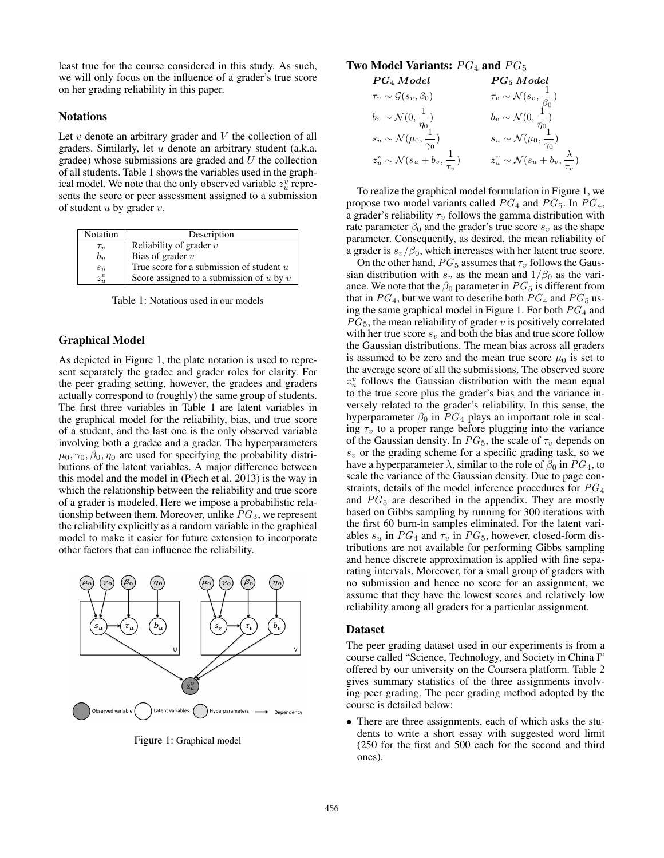least true for the course considered in this study. As such, we will only focus on the influence of a grader's true score on her grading reliability in this paper.

### Notations

Let  $v$  denote an arbitrary grader and  $V$  the collection of all graders. Similarly, let u denote an arbitrary student (a.k.a. gradee) whose submissions are graded and  $U$  the collection of all students. Table 1 shows the variables used in the graphical model. We note that the only observed variable  $z_u^v$  represents the score or peer assessment assigned to a submission of student  $u$  by grader  $v$ .

| Notation             | Description                                  |
|----------------------|----------------------------------------------|
| $\tau_v$             | Reliability of grader $v$                    |
| $b_{\eta}$           | Bias of grader $v$                           |
| $s_u$                | True score for a submission of student $u$   |
| $z_u^{\overline{v}}$ | Score assigned to a submission of $u$ by $v$ |

Table 1: Notations used in our models

# Graphical Model

As depicted in Figure 1, the plate notation is used to represent separately the gradee and grader roles for clarity. For the peer grading setting, however, the gradees and graders actually correspond to (roughly) the same group of students. The first three variables in Table 1 are latent variables in the graphical model for the reliability, bias, and true score of a student, and the last one is the only observed variable involving both a gradee and a grader. The hyperparameters  $\mu_0$ ,  $\gamma_0$ ,  $\beta_0$ ,  $\eta_0$  are used for specifying the probability distributions of the latent variables. A major difference between this model and the model in (Piech et al. 2013) is the way in which the relationship between the reliability and true score of a grader is modeled. Here we impose a probabilistic relationship between them. Moreover, unlike  $PG<sub>3</sub>$ , we represent the reliability explicitly as a random variable in the graphical model to make it easier for future extension to incorporate other factors that can influence the reliability.



Figure 1: Graphical model

# Two Model Variants:  $PG<sub>4</sub>$  and  $PG<sub>5</sub>$

$$
\begin{array}{ll}\n{\textit{PG}}_4 \textit{Model} & {\textit{PG}}_5 \textit{Model} \\
\tau_v \sim \mathcal{G}(s_v, \beta_0) & \tau_v \sim \mathcal{N}(s_v, \frac{1}{\beta_0}) \\
b_v \sim \mathcal{N}(0, \frac{1}{\eta_0}) & b_v \sim \mathcal{N}(0, \frac{1}{\eta_0}) \\
s_u \sim \mathcal{N}(\mu_0, \frac{1}{\gamma_0}) & s_u \sim \mathcal{N}(\mu_0, \frac{1}{\gamma_0}) \\
z_u^v \sim \mathcal{N}(s_u + b_v, \frac{1}{\tau_v}) & z_u^v \sim \mathcal{N}(s_u + b_v, \frac{\lambda}{\tau_v})\n\end{array}
$$

To realize the graphical model formulation in Figure 1, we propose two model variants called  $PG_4$  and  $PG_5$ . In  $PG_4$ , a grader's reliability  $\tau_v$  follows the gamma distribution with rate parameter  $\beta_0$  and the grader's true score  $s_v$  as the shape parameter. Consequently, as desired, the mean reliability of a grader is  $s_v/\beta_0$ , which increases with her latent true score.

On the other hand,  $PG_5$  assumes that  $\tau_v$  follows the Gaussian distribution with  $s_v$  as the mean and  $1/\beta_0$  as the variance. We note that the  $\beta_0$  parameter in  $PG_5$  is different from that in  $PG<sub>4</sub>$ , but we want to describe both  $PG<sub>4</sub>$  and  $PG<sub>5</sub>$  using the same graphical model in Figure 1. For both  $PG<sub>4</sub>$  and  $PG_5$ , the mean reliability of grader v is positively correlated with her true score  $s_v$  and both the bias and true score follow the Gaussian distributions. The mean bias across all graders is assumed to be zero and the mean true score  $\mu_0$  is set to the average score of all the submissions. The observed score  $z_u^v$  follows the Gaussian distribution with the mean equal to the true score plus the grader's bias and the variance inversely related to the grader's reliability. In this sense, the hyperparameter  $\beta_0$  in  $PG_4$  plays an important role in scaling  $\tau_v$  to a proper range before plugging into the variance of the Gaussian density. In  $PG_5$ , the scale of  $\tau_v$  depends on  $s_v$  or the grading scheme for a specific grading task, so we have a hyperparameter  $\lambda$ , similar to the role of  $\beta_0$  in  $PG_4$ , to scale the variance of the Gaussian density. Due to page constraints, details of the model inference procedures for  $PG<sub>4</sub>$ and  $PG<sub>5</sub>$  are described in the appendix. They are mostly based on Gibbs sampling by running for 300 iterations with the first 60 burn-in samples eliminated. For the latent variables  $s_u$  in  $PG_4$  and  $\tau_v$  in  $PG_5$ , however, closed-form distributions are not available for performing Gibbs sampling and hence discrete approximation is applied with fine separating intervals. Moreover, for a small group of graders with no submission and hence no score for an assignment, we assume that they have the lowest scores and relatively low reliability among all graders for a particular assignment.

#### Dataset

The peer grading dataset used in our experiments is from a course called "Science, Technology, and Society in China I" offered by our university on the Coursera platform. Table 2 gives summary statistics of the three assignments involving peer grading. The peer grading method adopted by the course is detailed below:

• There are three assignments, each of which asks the students to write a short essay with suggested word limit (250 for the first and 500 each for the second and third ones).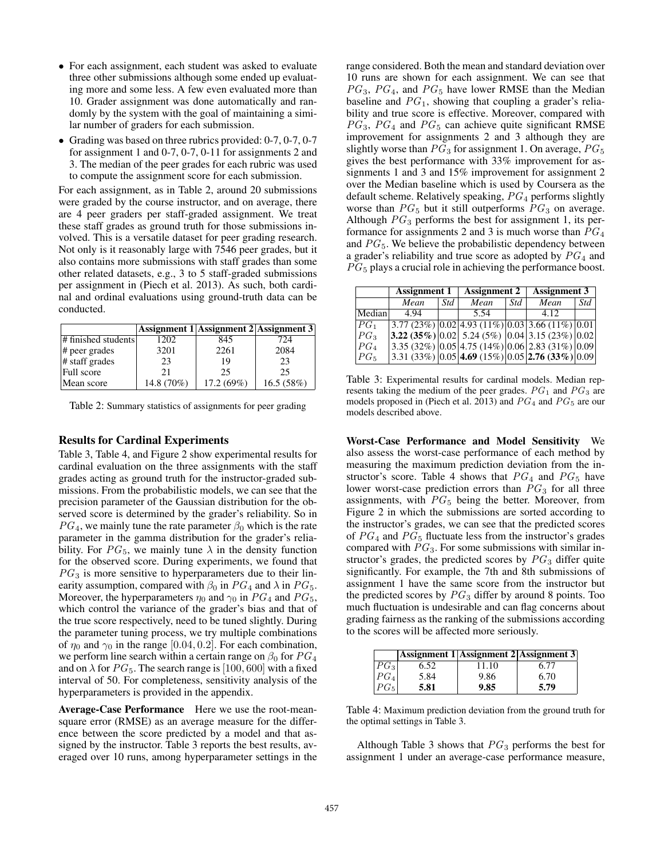- For each assignment, each student was asked to evaluate three other submissions although some ended up evaluating more and some less. A few even evaluated more than 10. Grader assignment was done automatically and randomly by the system with the goal of maintaining a similar number of graders for each submission.
- Grading was based on three rubrics provided: 0-7, 0-7, 0-7 for assignment 1 and 0-7, 0-7, 0-11 for assignments 2 and 3. The median of the peer grades for each rubric was used to compute the assignment score for each submission.

For each assignment, as in Table 2, around 20 submissions were graded by the course instructor, and on average, there are 4 peer graders per staff-graded assignment. We treat these staff grades as ground truth for those submissions involved. This is a versatile dataset for peer grading research. Not only is it reasonably large with 7546 peer grades, but it also contains more submissions with staff grades than some other related datasets, e.g., 3 to 5 staff-graded submissions per assignment in (Piech et al. 2013). As such, both cardinal and ordinal evaluations using ground-truth data can be conducted.

|                     |            | Assignment 1 Assignment 2 Assignment 3 |           |
|---------------------|------------|----------------------------------------|-----------|
| # finished students | 1202       | 845                                    | 724       |
| # peer grades       | 3201       | 2261                                   | 2084      |
| # staff grades      | 23         | 19                                     | 23        |
| Full score          | 21         | 25                                     | 25        |
| Mean score          | 14.8 (70%) | 17.2 (69%)                             | 16.5(58%) |

Table 2: Summary statistics of assignments for peer grading

### Results for Cardinal Experiments

Table 3, Table 4, and Figure 2 show experimental results for cardinal evaluation on the three assignments with the staff grades acting as ground truth for the instructor-graded submissions. From the probabilistic models, we can see that the precision parameter of the Gaussian distribution for the observed score is determined by the grader's reliability. So in  $PG<sub>4</sub>$ , we mainly tune the rate parameter  $\beta_0$  which is the rate parameter in the gamma distribution for the grader's reliability. For  $PG_5$ , we mainly tune  $\lambda$  in the density function for the observed score. During experiments, we found that  $PG<sub>3</sub>$  is more sensitive to hyperparameters due to their linearity assumption, compared with  $\beta_0$  in  $PG_4$  and  $\lambda$  in  $PG_5$ . Moreover, the hyperparameters  $\eta_0$  and  $\gamma_0$  in  $PG_4$  and  $PG_5$ , which control the variance of the grader's bias and that of the true score respectively, need to be tuned slightly. During the parameter tuning process, we try multiple combinations of  $\eta_0$  and  $\gamma_0$  in the range [0.04, 0.2]. For each combination, we perform line search within a certain range on  $\beta_0$  for  $PG_4$ and on  $\lambda$  for  $PG_5$ . The search range is [100, 600] with a fixed interval of 50. For completeness, sensitivity analysis of the hyperparameters is provided in the appendix.

Average-Case Performance Here we use the root-meansquare error (RMSE) as an average measure for the difference between the score predicted by a model and that assigned by the instructor. Table 3 reports the best results, averaged over 10 runs, among hyperparameter settings in the

range considered. Both the mean and standard deviation over 10 runs are shown for each assignment. We can see that  $PG_3$ ,  $PG_4$ , and  $PG_5$  have lower RMSE than the Median baseline and  $PG<sub>1</sub>$ , showing that coupling a grader's reliability and true score is effective. Moreover, compared with  $PG<sub>3</sub>$ ,  $PG<sub>4</sub>$  and  $PG<sub>5</sub>$  can achieve quite significant RMSE improvement for assignments 2 and 3 although they are slightly worse than  $PG_3$  for assignment 1. On average,  $PG_5$ gives the best performance with 33% improvement for assignments 1 and 3 and 15% improvement for assignment 2 over the Median baseline which is used by Coursera as the default scheme. Relatively speaking,  $PG<sub>4</sub>$  performs slightly worse than  $PG_5$  but it still outperforms  $PG_3$  on average. Although  $PG_3$  performs the best for assignment 1, its performance for assignments 2 and 3 is much worse than  $PG<sub>4</sub>$ and  $PG_5$ . We believe the probabilistic dependency between a grader's reliability and true score as adopted by  $PG<sub>4</sub>$  and  $PG<sub>5</sub>$  plays a crucial role in achieving the performance boost.

|          | <b>Assignment 1</b> |     | <b>Assignment 2</b> |     | <b>Assignment 3</b>                                                                                                        |     |
|----------|---------------------|-----|---------------------|-----|----------------------------------------------------------------------------------------------------------------------------|-----|
|          | Mean                | Std | Mean                | Std | Mean                                                                                                                       | Std |
| Median   | 494                 |     | 5.54                |     | 4.12                                                                                                                       |     |
| $ PG_1 $ |                     |     |                     |     | $(3.77 (23%) (0.02 (4.93 (11%) (0.03 (3.66 (11%) (0.01)))$                                                                 |     |
| $ PG_3 $ |                     |     |                     |     | $\left 3.22\left(35\%\right)\right 0.02\right 5.24\left(5\%\right)\left 0.04\right 3.15\left(23\%\right)\left 0.02\right $ |     |
| $ PG_4 $ |                     |     |                     |     | $(3.35 (32\%)  0.05  4.75 (14\%)  0.06  2.83 (31\%)  0.09$                                                                 |     |
| $ PG_5 $ |                     |     |                     |     | 3.31 (33%) $ 0.05 $ 4.69 (15%) $ 0.05 $ 2.76 (33%) $ 0.09 $                                                                |     |

Table 3: Experimental results for cardinal models. Median represents taking the medium of the peer grades.  $PG<sub>1</sub>$  and  $PG<sub>3</sub>$  are models proposed in (Piech et al. 2013) and  $PG<sub>4</sub>$  and  $PG<sub>5</sub>$  are our models described above.

Worst-Case Performance and Model Sensitivity We also assess the worst-case performance of each method by measuring the maximum prediction deviation from the instructor's score. Table 4 shows that  $PG<sub>4</sub>$  and  $PG<sub>5</sub>$  have lower worst-case prediction errors than  $PG<sub>3</sub>$  for all three assignments, with  $PG<sub>5</sub>$  being the better. Moreover, from Figure 2 in which the submissions are sorted according to the instructor's grades, we can see that the predicted scores of  $PG<sub>4</sub>$  and  $PG<sub>5</sub>$  fluctuate less from the instructor's grades compared with  $PG<sub>3</sub>$ . For some submissions with similar instructor's grades, the predicted scores by  $PG<sub>3</sub>$  differ quite significantly. For example, the 7th and 8th submissions of assignment 1 have the same score from the instructor but the predicted scores by  $PG_3$  differ by around 8 points. Too much fluctuation is undesirable and can flag concerns about grading fairness as the ranking of the submissions according to the scores will be affected more seriously.

|          |      | $ {\rm Assignment~1} $ Assignment 2 Assignment 3 |      |
|----------|------|--------------------------------------------------|------|
| $PG_{3}$ | 6.52 | 11.10                                            | 6.77 |
| $PG_{4}$ | 5.84 | 9.86                                             | 6.70 |
| $PG_5$   | 5.81 | 9.85                                             | 5.79 |

Table 4: Maximum prediction deviation from the ground truth for the optimal settings in Table 3.

Although Table 3 shows that  $PG_3$  performs the best for assignment 1 under an average-case performance measure,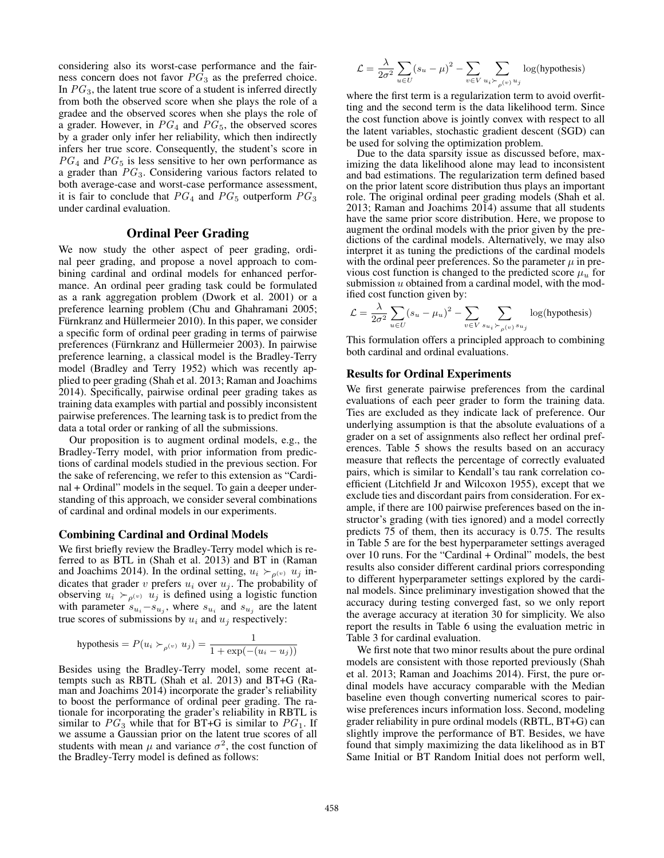considering also its worst-case performance and the fairness concern does not favor  $PG<sub>3</sub>$  as the preferred choice. In  $PG<sub>3</sub>$ , the latent true score of a student is inferred directly from both the observed score when she plays the role of a gradee and the observed scores when she plays the role of a grader. However, in  $PG<sub>4</sub>$  and  $PG<sub>5</sub>$ , the observed scores by a grader only infer her reliability, which then indirectly infers her true score. Consequently, the student's score in  $PG<sub>4</sub>$  and  $PG<sub>5</sub>$  is less sensitive to her own performance as a grader than  $PG_3$ . Considering various factors related to both average-case and worst-case performance assessment, it is fair to conclude that  $PG_4$  and  $PG_5$  outperform  $PG_3$ under cardinal evaluation.

# Ordinal Peer Grading

We now study the other aspect of peer grading, ordinal peer grading, and propose a novel approach to combining cardinal and ordinal models for enhanced performance. An ordinal peer grading task could be formulated as a rank aggregation problem (Dwork et al. 2001) or a preference learning problem (Chu and Ghahramani 2005; Fürnkranz and Hüllermeier 2010). In this paper, we consider a specific form of ordinal peer grading in terms of pairwise preferences (Fürnkranz and Hüllermeier 2003). In pairwise preference learning, a classical model is the Bradley-Terry model (Bradley and Terry 1952) which was recently applied to peer grading (Shah et al. 2013; Raman and Joachims 2014). Specifically, pairwise ordinal peer grading takes as training data examples with partial and possibly inconsistent pairwise preferences. The learning task is to predict from the data a total order or ranking of all the submissions.

Our proposition is to augment ordinal models, e.g., the Bradley-Terry model, with prior information from predictions of cardinal models studied in the previous section. For the sake of referencing, we refer to this extension as "Cardinal + Ordinal" models in the sequel. To gain a deeper understanding of this approach, we consider several combinations of cardinal and ordinal models in our experiments.

#### Combining Cardinal and Ordinal Models

We first briefly review the Bradley-Terry model which is referred to as BTL in (Shah et al. 2013) and BT in (Raman and Joachims 2014). In the ordinal setting,  $u_i \succ_{\rho^{(v)}} u_j$  indicates that grader v prefers  $u_i$  over  $u_j$ . The probability of observing  $u_i \succ_{\rho^{(v)}} u_j$  is defined using a logistic function with parameter  $s_{u_i} - s_{u_j}$ , where  $s_{u_i}$  and  $s_{u_j}$  are the latent true scores of submissions by  $u_i$  and  $u_j$  respectively:

hypothesis = 
$$
P(u_i \succ_{\rho^{(v)}} u_j) = \frac{1}{1 + \exp(-(u_i - u_j))}
$$

Besides using the Bradley-Terry model, some recent attempts such as RBTL (Shah et al. 2013) and BT+G (Raman and Joachims 2014) incorporate the grader's reliability to boost the performance of ordinal peer grading. The rationale for incorporating the grader's reliability in RBTL is similar to  $PG_3$  while that for BT+G is similar to  $PG_1$ . If we assume a Gaussian prior on the latent true scores of all students with mean  $\mu$  and variance  $\sigma^2$ , the cost function of the Bradley-Terry model is defined as follows:

$$
\mathcal{L} = \frac{\lambda}{2\sigma^2} \sum_{u \in U} (s_u - \mu)^2 - \sum_{v \in V} \sum_{u_i \succ_{\rho(v)} u_j} \log(\text{hypothesis})
$$

where the first term is a regularization term to avoid overfitting and the second term is the data likelihood term. Since the cost function above is jointly convex with respect to all the latent variables, stochastic gradient descent (SGD) can be used for solving the optimization problem.

Due to the data sparsity issue as discussed before, maximizing the data likelihood alone may lead to inconsistent and bad estimations. The regularization term defined based on the prior latent score distribution thus plays an important role. The original ordinal peer grading models (Shah et al. 2013; Raman and Joachims 2014) assume that all students have the same prior score distribution. Here, we propose to augment the ordinal models with the prior given by the predictions of the cardinal models. Alternatively, we may also interpret it as tuning the predictions of the cardinal models with the ordinal peer preferences. So the parameter  $\mu$  in previous cost function is changed to the predicted score  $\mu_u$  for submission  $u$  obtained from a cardinal model, with the modified cost function given by:

$$
\mathcal{L} = \frac{\lambda}{2\sigma^2} \sum_{u \in U} (s_u - \mu_u)^2 - \sum_{v \in V} \sum_{s_{u_i} \succ_{\rho(v)} s_{u_j}} \log(\text{hypothesis})
$$

This formulation offers a principled approach to combining both cardinal and ordinal evaluations.

# Results for Ordinal Experiments

We first generate pairwise preferences from the cardinal evaluations of each peer grader to form the training data. Ties are excluded as they indicate lack of preference. Our underlying assumption is that the absolute evaluations of a grader on a set of assignments also reflect her ordinal preferences. Table 5 shows the results based on an accuracy measure that reflects the percentage of correctly evaluated pairs, which is similar to Kendall's tau rank correlation coefficient (Litchfield Jr and Wilcoxon 1955), except that we exclude ties and discordant pairs from consideration. For example, if there are 100 pairwise preferences based on the instructor's grading (with ties ignored) and a model correctly predicts 75 of them, then its accuracy is 0.75. The results in Table 5 are for the best hyperparameter settings averaged over 10 runs. For the "Cardinal + Ordinal" models, the best results also consider different cardinal priors corresponding to different hyperparameter settings explored by the cardinal models. Since preliminary investigation showed that the accuracy during testing converged fast, so we only report the average accuracy at iteration 30 for simplicity. We also report the results in Table 6 using the evaluation metric in Table 3 for cardinal evaluation.

We first note that two minor results about the pure ordinal models are consistent with those reported previously (Shah et al. 2013; Raman and Joachims 2014). First, the pure ordinal models have accuracy comparable with the Median baseline even though converting numerical scores to pairwise preferences incurs information loss. Second, modeling grader reliability in pure ordinal models (RBTL, BT+G) can slightly improve the performance of BT. Besides, we have found that simply maximizing the data likelihood as in BT Same Initial or BT Random Initial does not perform well,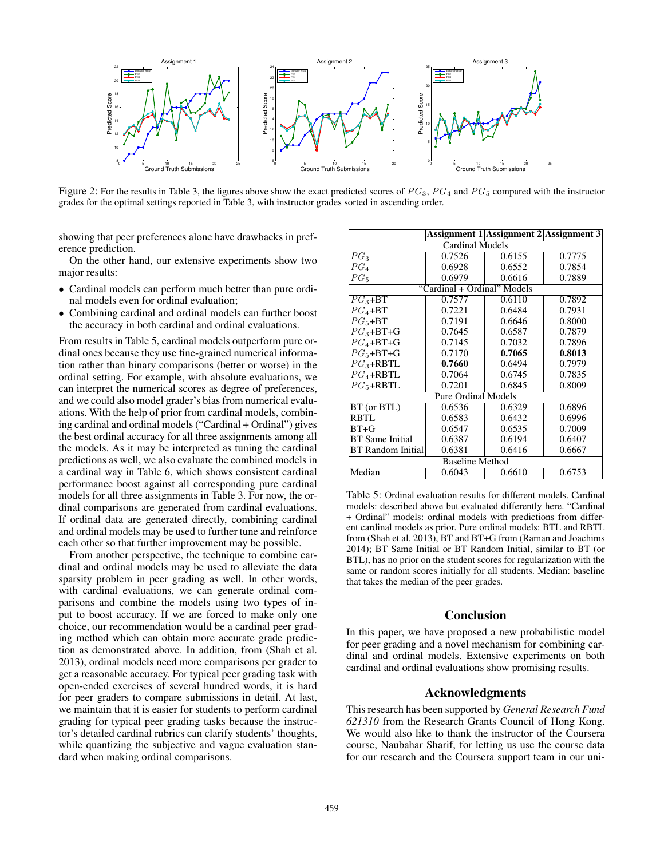

Figure 2: For the results in Table 3, the figures above show the exact predicted scores of  $PG_3$ ,  $PG_4$  and  $PG_5$  compared with the instructor grades for the optimal settings reported in Table 3, with instructor grades sorted in ascending order.

showing that peer preferences alone have drawbacks in preference prediction.

On the other hand, our extensive experiments show two major results:

- Cardinal models can perform much better than pure ordinal models even for ordinal evaluation;
- Combining cardinal and ordinal models can further boost the accuracy in both cardinal and ordinal evaluations.

From results in Table 5, cardinal models outperform pure ordinal ones because they use fine-grained numerical information rather than binary comparisons (better or worse) in the ordinal setting. For example, with absolute evaluations, we can interpret the numerical scores as degree of preferences, and we could also model grader's bias from numerical evaluations. With the help of prior from cardinal models, combining cardinal and ordinal models ("Cardinal + Ordinal") gives the best ordinal accuracy for all three assignments among all the models. As it may be interpreted as tuning the cardinal predictions as well, we also evaluate the combined models in a cardinal way in Table 6, which shows consistent cardinal performance boost against all corresponding pure cardinal models for all three assignments in Table 3. For now, the ordinal comparisons are generated from cardinal evaluations. If ordinal data are generated directly, combining cardinal and ordinal models may be used to further tune and reinforce each other so that further improvement may be possible.

From another perspective, the technique to combine cardinal and ordinal models may be used to alleviate the data sparsity problem in peer grading as well. In other words, with cardinal evaluations, we can generate ordinal comparisons and combine the models using two types of input to boost accuracy. If we are forced to make only one choice, our recommendation would be a cardinal peer grading method which can obtain more accurate grade prediction as demonstrated above. In addition, from (Shah et al. 2013), ordinal models need more comparisons per grader to get a reasonable accuracy. For typical peer grading task with open-ended exercises of several hundred words, it is hard for peer graders to compare submissions in detail. At last, we maintain that it is easier for students to perform cardinal grading for typical peer grading tasks because the instructor's detailed cardinal rubrics can clarify students' thoughts, while quantizing the subjective and vague evaluation standard when making ordinal comparisons.

|                            |                             | <b>Assignment 1 Assignment 2 Assignment 3</b> |        |  |  |
|----------------------------|-----------------------------|-----------------------------------------------|--------|--|--|
| Cardinal Models            |                             |                                               |        |  |  |
| $PG_3$                     | 0.7526                      | 0.6155                                        | 0.7775 |  |  |
| $PG_{A}$                   | 0.6928                      | 0.6552                                        | 0.7854 |  |  |
| $PG_{5}$                   | 0.6979                      | 0.6616                                        | 0.7889 |  |  |
|                            | "Cardinal + Ordinal" Models |                                               |        |  |  |
| $PG_3 + BT$                | 0.7577                      | 0.6110                                        | 0.7892 |  |  |
| $PG_4$ +BT                 | 0.7221                      | 0.6484                                        | 0.7931 |  |  |
| $PG_5 + BT$                | 0.7191                      | 0.6646                                        | 0.8000 |  |  |
| $PG_3 + BT + G$            | 0.7645                      | 0.6587                                        | 0.7879 |  |  |
| $PG_4 + BT + G$            | 0.7145                      | 0.7032                                        | 0.7896 |  |  |
| $PG_5 + BT + G$            | 0.7170                      | 0.7065                                        | 0.8013 |  |  |
| $PG_3$ +RBTL               | 0.7660                      | 0.6494                                        | 0.7979 |  |  |
| $PG_4$ +RBTL               | 0.7064                      | 0.6745                                        | 0.7835 |  |  |
| $PG_5 + RBTL$              | 0.7201                      | 0.6845                                        | 0.8009 |  |  |
| <b>Pure Ordinal Models</b> |                             |                                               |        |  |  |
| BT (or BTL)                | 0.6536                      | 0.6329                                        | 0.6896 |  |  |
| RBTL                       | 0.6583                      | 0.6432                                        | 0.6996 |  |  |
| $BT+G$                     | 0.6547                      | 0.6535                                        | 0.7009 |  |  |
| <b>BT</b> Same Initial     | 0.6387                      | 0.6194                                        | 0.6407 |  |  |
| BT Random Initial          | 0.6381                      | 0.6416                                        | 0.6667 |  |  |
| <b>Baseline Method</b>     |                             |                                               |        |  |  |
| Median                     | 0.6043                      | 0.6610                                        | 0.6753 |  |  |

Table 5: Ordinal evaluation results for different models. Cardinal models: described above but evaluated differently here. "Cardinal + Ordinal" models: ordinal models with predictions from different cardinal models as prior. Pure ordinal models: BTL and RBTL from (Shah et al. 2013), BT and BT+G from (Raman and Joachims 2014); BT Same Initial or BT Random Initial, similar to BT (or BTL), has no prior on the student scores for regularization with the same or random scores initially for all students. Median: baseline that takes the median of the peer grades.

### Conclusion

In this paper, we have proposed a new probabilistic model for peer grading and a novel mechanism for combining cardinal and ordinal models. Extensive experiments on both cardinal and ordinal evaluations show promising results.

# Acknowledgments

This research has been supported by *General Research Fund 621310* from the Research Grants Council of Hong Kong. We would also like to thank the instructor of the Coursera course, Naubahar Sharif, for letting us use the course data for our research and the Coursera support team in our uni-